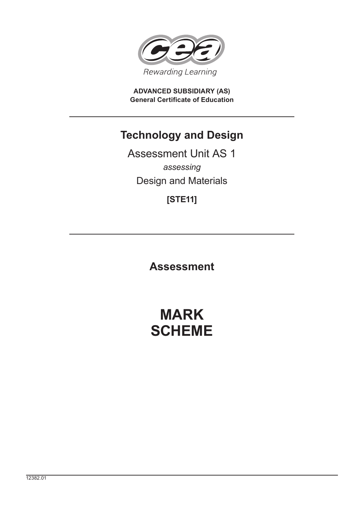

**ADVANCED SUBSIDIARY (AS) General Certificate of Education**

## **Technology and Design**

Assessment Unit AS 1 *assessing* Design and Materials

**[STE11]**

**Assessment**

# **MARK SCHEME**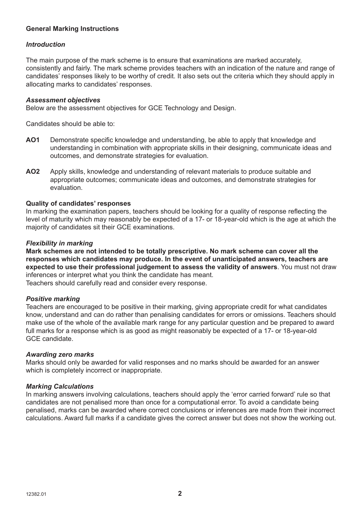## **General Marking Instructions**

### *Introduction*

The main purpose of the mark scheme is to ensure that examinations are marked accurately, consistently and fairly. The mark scheme provides teachers with an indication of the nature and range of candidates' responses likely to be worthy of credit. It also sets out the criteria which they should apply in allocating marks to candidates' responses.

#### *Assessment objectives*

Below are the assessment objectives for GCE Technology and Design.

Candidates should be able to:

- AO1 Demonstrate specific knowledge and understanding, be able to apply that knowledge and understanding in combination with appropriate skills in their designing, communicate ideas and outcomes, and demonstrate strategies for evaluation.
- **AO2** Apply skills, knowledge and understanding of relevant materials to produce suitable and appropriate outcomes; communicate ideas and outcomes, and demonstrate strategies for evaluation.

#### **Quality of candidates' responses**

In marking the examination papers, teachers should be looking for a quality of response reflecting the level of maturity which may reasonably be expected of a 17- or 18-year-old which is the age at which the majority of candidates sit their GCE examinations.

#### *Flexibility in marking*

**Mark schemes are not intended to be totally prescriptive. No mark scheme can cover all the responses which candidates may produce. In the event of unanticipated answers, teachers are expected to use their professional judgement to assess the validity of answers**. You must not draw inferences or interpret what you think the candidate has meant.

Teachers should carefully read and consider every response.

#### *Positive marking*

Teachers are encouraged to be positive in their marking, giving appropriate credit for what candidates know, understand and can do rather than penalising candidates for errors or omissions. Teachers should make use of the whole of the available mark range for any particular question and be prepared to award full marks for a response which is as good as might reasonably be expected of a 17- or 18-year-old GCE candidate.

#### *Awarding zero marks*

Marks should only be awarded for valid responses and no marks should be awarded for an answer which is completely incorrect or inappropriate.

#### *Marking Calculations*

In marking answers involving calculations, teachers should apply the 'error carried forward' rule so that candidates are not penalised more than once for a computational error. To avoid a candidate being penalised, marks can be awarded where correct conclusions or inferences are made from their incorrect calculations. Award full marks if a candidate gives the correct answer but does not show the working out.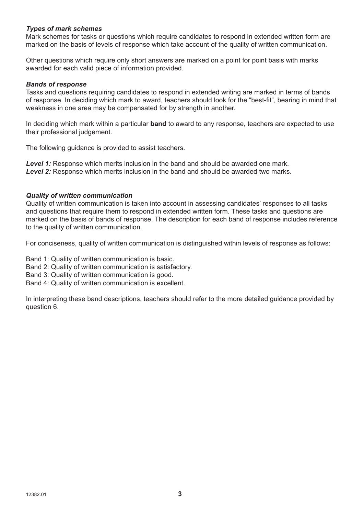#### *Types of mark schemes*

Mark schemes for tasks or questions which require candidates to respond in extended written form are marked on the basis of levels of response which take account of the quality of written communication.

Other questions which require only short answers are marked on a point for point basis with marks awarded for each valid piece of information provided.

#### *Bands of response*

Tasks and questions requiring candidates to respond in extended writing are marked in terms of bands of response. In deciding which mark to award, teachers should look for the "best-fit", bearing in mind that weakness in one area may be compensated for by strength in another.

In deciding which mark within a particular **band** to award to any response, teachers are expected to use their professional judgement.

The following guidance is provided to assist teachers.

**Level 1:** Response which merits inclusion in the band and should be awarded one mark. *Level 2:* Response which merits inclusion in the band and should be awarded two marks.

#### *Quality of written communication*

Quality of written communication is taken into account in assessing candidates' responses to all tasks and questions that require them to respond in extended written form. These tasks and questions are marked on the basis of bands of response. The description for each band of response includes reference to the quality of written communication.

For conciseness, quality of written communication is distinguished within levels of response as follows:

Band 1: Quality of written communication is basic.

- Band 2: Quality of written communication is satisfactory.
- Band 3: Quality of written communication is good.
- Band 4: Quality of written communication is excellent.

In interpreting these band descriptions, teachers should refer to the more detailed guidance provided by question 6.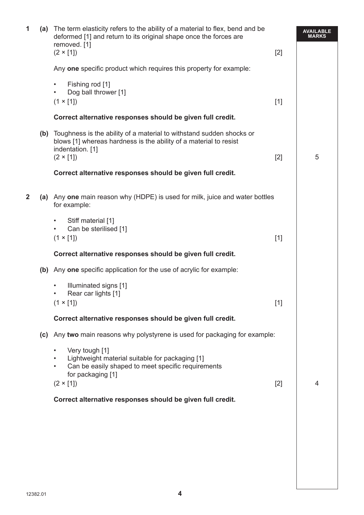| 1            | (a) | The term elasticity refers to the ability of a material to flex, bend and be<br>deformed [1] and return to its original shape once the forces are<br>removed. [1]<br>$(2 \times [1])$ | $[2]$ | <b>AVAILABLE</b><br><b>MARKS</b> |
|--------------|-----|---------------------------------------------------------------------------------------------------------------------------------------------------------------------------------------|-------|----------------------------------|
|              |     | Any one specific product which requires this property for example:                                                                                                                    |       |                                  |
|              |     | Fishing rod [1]<br>$\bullet$<br>Dog ball thrower [1]<br>٠<br>$(1 \times [1])$                                                                                                         | $[1]$ |                                  |
|              |     | Correct alternative responses should be given full credit.                                                                                                                            |       |                                  |
|              |     | (b) Toughness is the ability of a material to withstand sudden shocks or<br>blows [1] whereas hardness is the ability of a material to resist<br>indentation. [1]                     |       |                                  |
|              |     | $(2 \times [1])$                                                                                                                                                                      | $[2]$ | 5                                |
|              |     | Correct alternative responses should be given full credit.                                                                                                                            |       |                                  |
| $\mathbf{2}$ |     | (a) Any one main reason why (HDPE) is used for milk, juice and water bottles<br>for example:                                                                                          |       |                                  |
|              |     | Stiff material [1]<br>$\bullet$<br>Can be sterilised [1]<br>$\bullet$<br>$(1 \times [1])$                                                                                             | $[1]$ |                                  |
|              |     | Correct alternative responses should be given full credit.                                                                                                                            |       |                                  |
|              | (b) | Any one specific application for the use of acrylic for example:                                                                                                                      |       |                                  |
|              |     | Illuminated signs [1]<br>$\bullet$<br>Rear car lights [1]<br>$\bullet$<br>$(1 \times [1])$                                                                                            | $[1]$ |                                  |
|              |     | Correct alternative responses should be given full credit.                                                                                                                            |       |                                  |
|              |     | (c) Any two main reasons why polystyrene is used for packaging for example:                                                                                                           |       |                                  |
|              |     | Very tough [1]<br>$\bullet$<br>Lightweight material suitable for packaging [1]<br>Can be easily shaped to meet specific requirements<br>$\bullet$<br>for packaging [1]                |       |                                  |
|              |     | $(2 \times [1])$                                                                                                                                                                      | $[2]$ | 4                                |
|              |     | Correct alternative responses should be given full credit.                                                                                                                            |       |                                  |
|              |     |                                                                                                                                                                                       |       |                                  |
|              |     |                                                                                                                                                                                       |       |                                  |
|              |     |                                                                                                                                                                                       |       |                                  |
|              |     |                                                                                                                                                                                       |       |                                  |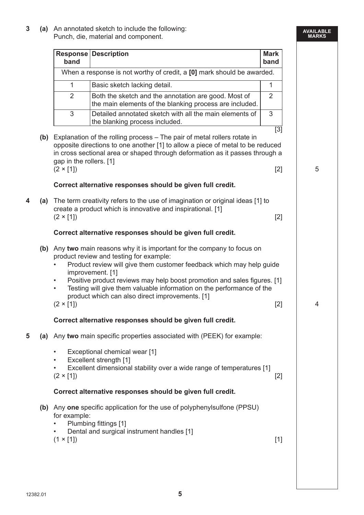**3 (a)** An annotated sketch to include the following: Punch, die, material and component.

#### **AVAILABLE MARKS**

|   |     | band                                                       | <b>Response Description</b>                                                                                                                                                                                                                                                                                                                                                                                         | <b>Mark</b><br>band            |
|---|-----|------------------------------------------------------------|---------------------------------------------------------------------------------------------------------------------------------------------------------------------------------------------------------------------------------------------------------------------------------------------------------------------------------------------------------------------------------------------------------------------|--------------------------------|
|   |     |                                                            | When a response is not worthy of credit, a [0] mark should be awarded.                                                                                                                                                                                                                                                                                                                                              |                                |
|   |     | $\mathbf{1}$                                               | Basic sketch lacking detail.                                                                                                                                                                                                                                                                                                                                                                                        | $\mathbf{1}$                   |
|   |     | $\overline{2}$                                             | Both the sketch and the annotation are good. Most of<br>the main elements of the blanking process are included.                                                                                                                                                                                                                                                                                                     | 2                              |
|   |     | 3                                                          | Detailed annotated sketch with all the main elements of<br>the blanking process included.                                                                                                                                                                                                                                                                                                                           | 3                              |
|   |     | gap in the rollers. [1]<br>$(2 \times [1])$                | (b) Explanation of the rolling process - The pair of metal rollers rotate in<br>opposite directions to one another [1] to allow a piece of metal to be reduced<br>in cross sectional area or shaped through deformation as it passes through a                                                                                                                                                                      | $\overline{[3]}$<br>5<br>$[2]$ |
|   |     |                                                            | Correct alternative responses should be given full credit.                                                                                                                                                                                                                                                                                                                                                          |                                |
| 4 | (a) | $(2 \times [1])$                                           | The term creativity refers to the use of imagination or original ideas [1] to<br>create a product which is innovative and inspirational. [1]                                                                                                                                                                                                                                                                        | $[2]$                          |
|   |     |                                                            | Correct alternative responses should be given full credit.                                                                                                                                                                                                                                                                                                                                                          |                                |
|   | (b) | $\bullet$<br>$\bullet$<br>$(2 \times [1])$                 | Any two main reasons why it is important for the company to focus on<br>product review and testing for example:<br>Product review will give them customer feedback which may help guide<br>improvement. [1]<br>Positive product reviews may help boost promotion and sales figures. [1]<br>Testing will give them valuable information on the performance of the<br>product which can also direct improvements. [1] | $[2]$<br>$\overline{4}$        |
|   |     |                                                            | Correct alternative responses should be given full credit.                                                                                                                                                                                                                                                                                                                                                          |                                |
| 5 |     |                                                            | (a) Any two main specific properties associated with (PEEK) for example:                                                                                                                                                                                                                                                                                                                                            |                                |
|   |     | $\bullet$<br>$\bullet$<br>$\bullet$<br>$(2 \times [1])$    | Exceptional chemical wear [1]<br>Excellent strength [1]<br>Excellent dimensional stability over a wide range of temperatures [1]                                                                                                                                                                                                                                                                                    | $[2]$                          |
|   |     |                                                            | Correct alternative responses should be given full credit.                                                                                                                                                                                                                                                                                                                                                          |                                |
|   |     | for example:<br>$\bullet$<br>$\bullet$<br>$(1 \times [1])$ | (b) Any one specific application for the use of polyphenylsulfone (PPSU)<br>Plumbing fittings [1]<br>Dental and surgical instrument handles [1]                                                                                                                                                                                                                                                                     | $[1]$                          |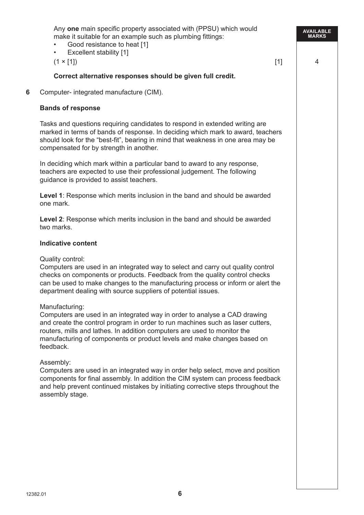**AVAILABLE MARKS** Any **one** main specific property associated with (PPSU) which would make it suitable for an example such as plumbing fittings: Good resistance to heat [1] **Excellent stability [1]**  $(1 \times [1])$  4  **Correct alternative responses should be given full credit. 6** Computer- integrated manufacture (CIM).  **Bands of response** Tasks and questions requiring candidates to respond in extended writing are marked in terms of bands of response. In deciding which mark to award, teachers should look for the "best-fit", bearing in mind that weakness in one area may be compensated for by strength in another. In deciding which mark within a particular band to award to any response, teachers are expected to use their professional judgement. The following guidance is provided to assist teachers.  **Level 1**: Response which merits inclusion in the band and should be awarded one mark. **Level 2**: Response which merits inclusion in the band and should be awarded two marks. **Indicative content** Quality control: Computers are used in an integrated way to select and carry out quality control checks on components or products. Feedback from the quality control checks can be used to make changes to the manufacturing process or inform or alert the department dealing with source suppliers of potential issues. Manufacturing: Computers are used in an integrated way in order to analyse a CAD drawing and create the control program in order to run machines such as laser cutters, routers, mills and lathes. In addition computers are used to monitor the manufacturing of components or product levels and make changes based on feedback. Assembly: Computers are used in an integrated way in order help select, move and position components for final assembly. In addition the CIM system can process feedback and help prevent continued mistakes by initiating corrective steps throughout the assembly stage.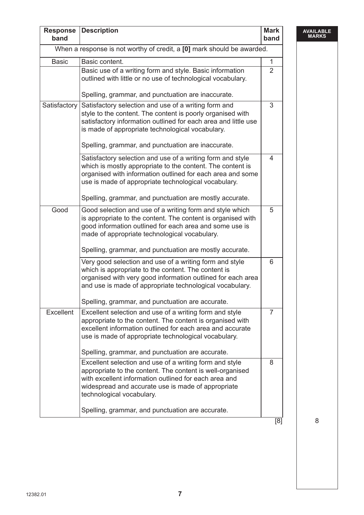| <b>Response</b><br>band | <b>Description</b>                                                                                                                                                                                                                                               | <b>Mark</b><br>band |
|-------------------------|------------------------------------------------------------------------------------------------------------------------------------------------------------------------------------------------------------------------------------------------------------------|---------------------|
|                         | When a response is not worthy of credit, a [0] mark should be awarded.                                                                                                                                                                                           |                     |
| <b>Basic</b>            | Basic content.                                                                                                                                                                                                                                                   | $\mathbf{1}$        |
|                         | Basic use of a writing form and style. Basic information<br>outlined with little or no use of technological vocabulary.                                                                                                                                          | $\overline{2}$      |
|                         | Spelling, grammar, and punctuation are inaccurate.                                                                                                                                                                                                               |                     |
| Satisfactory            | Satisfactory selection and use of a writing form and<br>style to the content. The content is poorly organised with<br>satisfactory information outlined for each area and little use<br>is made of appropriate technological vocabulary.                         | 3                   |
|                         | Spelling, grammar, and punctuation are inaccurate.                                                                                                                                                                                                               |                     |
|                         | Satisfactory selection and use of a writing form and style<br>which is mostly appropriate to the content. The content is<br>organised with information outlined for each area and some<br>use is made of appropriate technological vocabulary.                   | 4                   |
|                         | Spelling, grammar, and punctuation are mostly accurate.                                                                                                                                                                                                          |                     |
| Good                    | Good selection and use of a writing form and style which<br>is appropriate to the content. The content is organised with<br>good information outlined for each area and some use is<br>made of appropriate technological vocabulary.                             | 5                   |
|                         | Spelling, grammar, and punctuation are mostly accurate.                                                                                                                                                                                                          |                     |
|                         | Very good selection and use of a writing form and style<br>which is appropriate to the content. The content is<br>organised with very good information outlined for each area<br>and use is made of appropriate technological vocabulary.                        | 6                   |
|                         | Spelling, grammar, and punctuation are accurate.                                                                                                                                                                                                                 |                     |
| Excellent               | Excellent selection and use of a writing form and style<br>appropriate to the content. The content is organised with<br>excellent information outlined for each area and accurate<br>use is made of appropriate technological vocabulary.                        | 7                   |
|                         | Spelling, grammar, and punctuation are accurate.                                                                                                                                                                                                                 |                     |
|                         | Excellent selection and use of a writing form and style<br>appropriate to the content. The content is well-organised<br>with excellent information outlined for each area and<br>widespread and accurate use is made of appropriate<br>technological vocabulary. | 8                   |
|                         | Spelling, grammar, and punctuation are accurate.                                                                                                                                                                                                                 |                     |
|                         |                                                                                                                                                                                                                                                                  | $\overline{8}$      |

**AVAILABLE MARKS**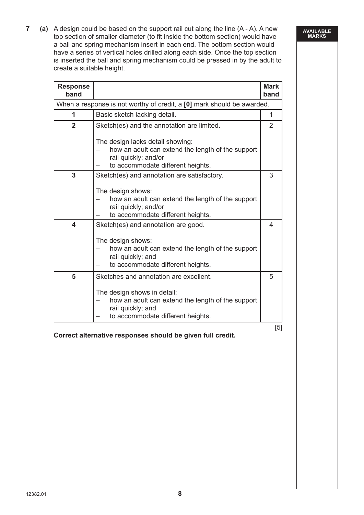**7 (a)** A design could be based on the support rail cut along the line (A - A). A new top section of smaller diameter (to fit inside the bottom section) would have a ball and spring mechanism insert in each end. The bottom section would have a series of vertical holes drilled along each side. Once the top section is inserted the ball and spring mechanism could be pressed in by the adult to create a suitable height.

| When a response is not worthy of credit, a [0] mark should be awarded.<br>Basic sketch lacking detail.<br>1<br>$\overline{2}$<br>Sketch(es) and the annotation are limited.<br>The design lacks detail showing:<br>how an adult can extend the length of the support<br>rail quickly; and/or<br>to accommodate different heights.<br>3<br>Sketch(es) and annotation are satisfactory.<br>The design shows:<br>how an adult can extend the length of the support<br>rail quickly; and/or<br>to accommodate different heights.<br>4<br>Sketch(es) and annotation are good.<br>The design shows:<br>how an adult can extend the length of the support<br>rail quickly; and<br>to accommodate different heights. | <b>Mark</b><br>band |
|--------------------------------------------------------------------------------------------------------------------------------------------------------------------------------------------------------------------------------------------------------------------------------------------------------------------------------------------------------------------------------------------------------------------------------------------------------------------------------------------------------------------------------------------------------------------------------------------------------------------------------------------------------------------------------------------------------------|---------------------|
|                                                                                                                                                                                                                                                                                                                                                                                                                                                                                                                                                                                                                                                                                                              |                     |
|                                                                                                                                                                                                                                                                                                                                                                                                                                                                                                                                                                                                                                                                                                              | $\mathbf{1}$        |
|                                                                                                                                                                                                                                                                                                                                                                                                                                                                                                                                                                                                                                                                                                              | 2                   |
|                                                                                                                                                                                                                                                                                                                                                                                                                                                                                                                                                                                                                                                                                                              |                     |
|                                                                                                                                                                                                                                                                                                                                                                                                                                                                                                                                                                                                                                                                                                              | 3                   |
|                                                                                                                                                                                                                                                                                                                                                                                                                                                                                                                                                                                                                                                                                                              |                     |
|                                                                                                                                                                                                                                                                                                                                                                                                                                                                                                                                                                                                                                                                                                              | $\overline{4}$      |
|                                                                                                                                                                                                                                                                                                                                                                                                                                                                                                                                                                                                                                                                                                              |                     |
| 5<br>Sketches and annotation are excellent.                                                                                                                                                                                                                                                                                                                                                                                                                                                                                                                                                                                                                                                                  | 5                   |
| The design shows in detail:<br>how an adult can extend the length of the support<br>rail quickly; and<br>to accommodate different heights.                                                                                                                                                                                                                                                                                                                                                                                                                                                                                                                                                                   |                     |

#### **AVAILABLE MARKS**

**Correct alternative responses should be given full credit.**